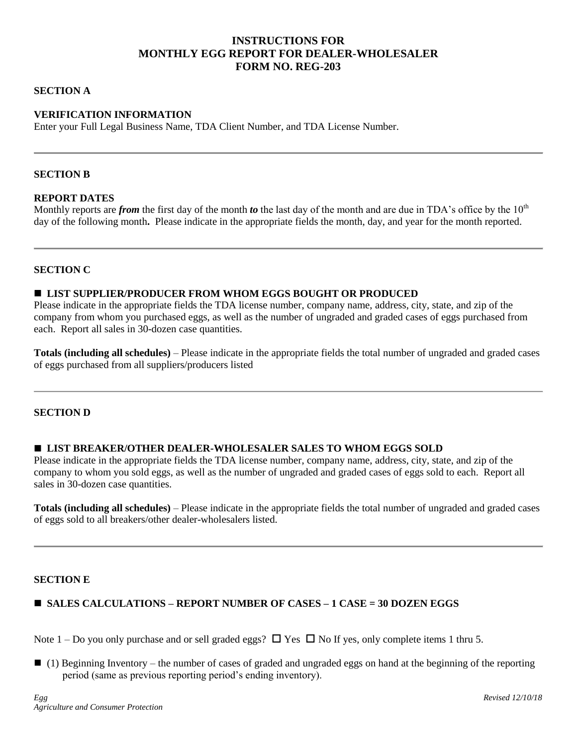# **INSTRUCTIONS FOR MONTHLY EGG REPORT FOR DEALER-WHOLESALER FORM NO. REG-203**

## **SECTION A**

# **VERIFICATION INFORMATION**

Enter your Full Legal Business Name, TDA Client Number, and TDA License Number.

#### **SECTION B**

#### **REPORT DATES**

Monthly reports are *from* the first day of the month *to* the last day of the month and are due in TDA's office by the 10<sup>th</sup> day of the following month**.** Please indicate in the appropriate fields the month, day, and year for the month reported.

# **SECTION C**

## **LIST SUPPLIER/PRODUCER FROM WHOM EGGS BOUGHT OR PRODUCED**

Please indicate in the appropriate fields the TDA license number, company name, address, city, state, and zip of the company from whom you purchased eggs, as well as the number of ungraded and graded cases of eggs purchased from each. Report all sales in 30-dozen case quantities.

**Totals (including all schedules)** – Please indicate in the appropriate fields the total number of ungraded and graded cases of eggs purchased from all suppliers/producers listed

#### **SECTION D**

#### **LIST BREAKER/OTHER DEALER-WHOLESALER SALES TO WHOM EGGS SOLD**

Please indicate in the appropriate fields the TDA license number, company name, address, city, state, and zip of the company to whom you sold eggs, as well as the number of ungraded and graded cases of eggs sold to each. Report all sales in 30-dozen case quantities.

**Totals (including all schedules)** – Please indicate in the appropriate fields the total number of ungraded and graded cases of eggs sold to all breakers/other dealer-wholesalers listed.

#### **SECTION E**

# **SALES CALCULATIONS – REPORT NUMBER OF CASES – 1 CASE = 30 DOZEN EGGS**

Note 1 – Do you only purchase and or sell graded eggs?  $\Box$  Yes  $\Box$  No If yes, only complete items 1 thru 5.

 $\Box$  (1) Beginning Inventory – the number of cases of graded and ungraded eggs on hand at the beginning of the reporting period (same as previous reporting period's ending inventory).